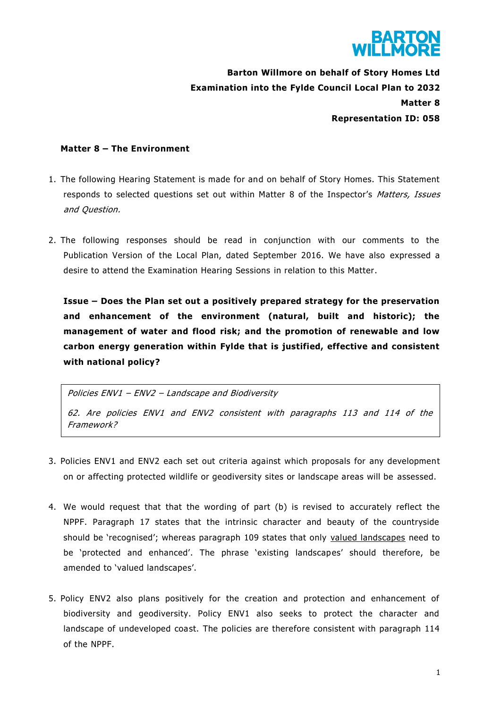

**Barton Willmore on behalf of Story Homes Ltd Examination into the Fylde Council Local Plan to 2032 Matter 8 Representation ID: 058**

## **Matter 8 – The Environment**

- 1. The following Hearing Statement is made for and on behalf of Story Homes. This Statement responds to selected questions set out within Matter 8 of the Inspector's Matters, Issues and Question.
- 2. The following responses should be read in conjunction with our comments to the Publication Version of the Local Plan, dated September 2016. We have also expressed a desire to attend the Examination Hearing Sessions in relation to this Matter.

**Issue – Does the Plan set out a positively prepared strategy for the preservation and enhancement of the environment (natural, built and historic); the management of water and flood risk; and the promotion of renewable and low carbon energy generation within Fylde that is justified, effective and consistent with national policy?**

Policies ENV1 – ENV2 – Landscape and Biodiversity 62. Are policies ENV1 and ENV2 consistent with paragraphs 113 and 114 of the Framework?

- 3. Policies ENV1 and ENV2 each set out criteria against which proposals for any development on or affecting protected wildlife or geodiversity sites or landscape areas will be assessed.
- 4. We would request that that the wording of part (b) is revised to accurately reflect the NPPF. Paragraph 17 states that the intrinsic character and beauty of the countryside should be 'recognised'; whereas paragraph 109 states that only valued landscapes need to be 'protected and enhanced'. The phrase 'existing landscapes' should therefore, be amended to 'valued landscapes'.
- 5. Policy ENV2 also plans positively for the creation and protection and enhancement of biodiversity and geodiversity. Policy ENV1 also seeks to protect the character and landscape of undeveloped coast. The policies are therefore consistent with paragraph 114 of the NPPF.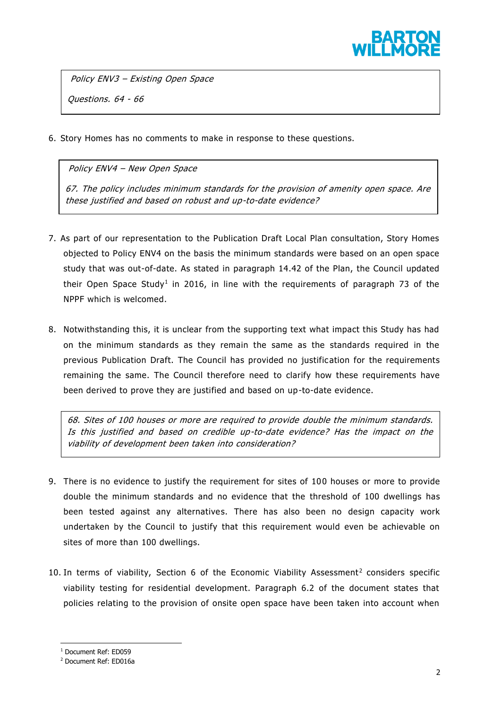

Policy ENV3 – Existing Open Space Questions. 64 - 66

6. Story Homes has no comments to make in response to these questions.

Policy ENV4 – New Open Space

67. The policy includes minimum standards for the provision of amenity open space. Are these justified and based on robust and up-to-date evidence?

- 7. As part of our representation to the Publication Draft Local Plan consultation, Story Homes objected to Policy ENV4 on the basis the minimum standards were based on an open space study that was out-of-date. As stated in paragraph 14.42 of the Plan, the Council updated their Open Space Study<sup>1</sup> in 2016, in line with the requirements of paragraph 73 of the NPPF which is welcomed.
- 8. Notwithstanding this, it is unclear from the supporting text what impact this Study has had on the minimum standards as they remain the same as the standards required in the previous Publication Draft. The Council has provided no justification for the requirements remaining the same. The Council therefore need to clarify how these requirements have been derived to prove they are justified and based on up-to-date evidence.

68. Sites of 100 houses or more are required to provide double the minimum standards. Is this justified and based on credible up-to-date evidence? Has the impact on the viability of development been taken into consideration?

- 9. There is no evidence to justify the requirement for sites of 100 houses or more to provide double the minimum standards and no evidence that the threshold of 100 dwellings has been tested against any alternatives. There has also been no design capacity work undertaken by the Council to justify that this requirement would even be achievable on sites of more than 100 dwellings.
- 10. In terms of viability, Section 6 of the Economic Viability Assessment<sup>2</sup> considers specific viability testing for residential development. Paragraph 6.2 of the document states that policies relating to the provision of onsite open space have been taken into account when

**.** 

<sup>1</sup> Document Ref: ED059

<sup>2</sup> Document Ref: ED016a